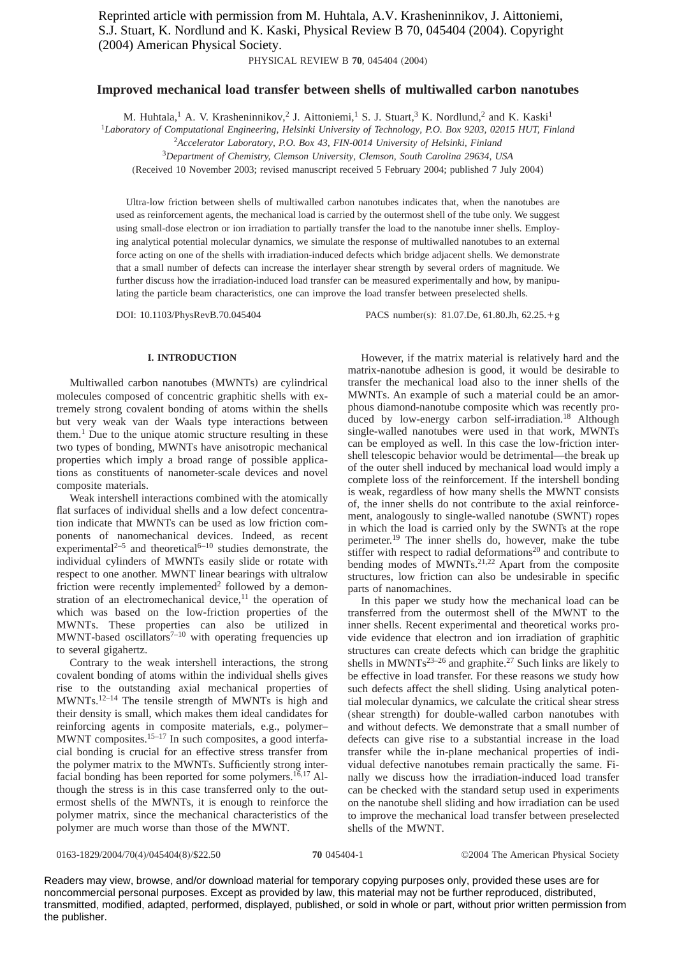Reprinted article with permission from M. Huhtala, A.V. Krasheninnikov, J. Aittoniemi, S.J. Stuart, K. Nordlund and K. Kaski, Physical Review B 70, 045404 (2004). Copyright (2004) American Physical Society.

PHYSICAL REVIEW B **70**, 045404 (2004)

# **Improved mechanical load transfer between shells of multiwalled carbon nanotubes**

M. Huhtala,<sup>1</sup> A. V. Krasheninnikov,<sup>2</sup> J. Aittoniemi,<sup>1</sup> S. J. Stuart,<sup>3</sup> K. Nordlund,<sup>2</sup> and K. Kaski<sup>1</sup>

<sup>1</sup>*Laboratory of Computational Engineering, Helsinki University of Technology, P.O. Box 9203, 02015 HUT, Finland*

2 *Accelerator Laboratory, P.O. Box 43, FIN-0014 University of Helsinki, Finland*

<sup>3</sup>*Department of Chemistry, Clemson University, Clemson, South Carolina 29634, USA*

(Received 10 November 2003; revised manuscript received 5 February 2004; published 7 July 2004)

Ultra-low friction between shells of multiwalled carbon nanotubes indicates that, when the nanotubes are used as reinforcement agents, the mechanical load is carried by the outermost shell of the tube only. We suggest using small-dose electron or ion irradiation to partially transfer the load to the nanotube inner shells. Employing analytical potential molecular dynamics, we simulate the response of multiwalled nanotubes to an external force acting on one of the shells with irradiation-induced defects which bridge adjacent shells. We demonstrate that a small number of defects can increase the interlayer shear strength by several orders of magnitude. We further discuss how the irradiation-induced load transfer can be measured experimentally and how, by manipulating the particle beam characteristics, one can improve the load transfer between preselected shells.

DOI: 10.1103/PhysRevB.70.045404 PACS number(s): 81.07.De, 61.80.Jh, 62.25.+g

## **I. INTRODUCTION**

Multiwalled carbon nanotubes (MWNTs) are cylindrical molecules composed of concentric graphitic shells with extremely strong covalent bonding of atoms within the shells but very weak van der Waals type interactions between them.<sup>1</sup> Due to the unique atomic structure resulting in these two types of bonding, MWNTs have anisotropic mechanical properties which imply a broad range of possible applications as constituents of nanometer-scale devices and novel composite materials.

Weak intershell interactions combined with the atomically flat surfaces of individual shells and a low defect concentration indicate that MWNTs can be used as low friction components of nanomechanical devices. Indeed, as recent experimental<sup>2–5</sup> and theoretical<sup>6–10</sup> studies demonstrate, the individual cylinders of MWNTs easily slide or rotate with respect to one another. MWNT linear bearings with ultralow friction were recently implemented<sup>2</sup> followed by a demonstration of an electromechanical device,<sup>11</sup> the operation of which was based on the low-friction properties of the MWNTs. These properties can also be utilized in MWNT-based oscillators<sup>7-10</sup> with operating frequencies up to several gigahertz.

Contrary to the weak intershell interactions, the strong covalent bonding of atoms within the individual shells gives rise to the outstanding axial mechanical properties of MWNTs.12–14 The tensile strength of MWNTs is high and their density is small, which makes them ideal candidates for reinforcing agents in composite materials, e.g., polymer– MWNT composites.<sup>15–17</sup> In such composites, a good interfacial bonding is crucial for an effective stress transfer from the polymer matrix to the MWNTs. Sufficiently strong interfacial bonding has been reported for some polymers.<sup>16,17</sup> Although the stress is in this case transferred only to the outermost shells of the MWNTs, it is enough to reinforce the polymer matrix, since the mechanical characteristics of the polymer are much worse than those of the MWNT.

However, if the matrix material is relatively hard and the matrix-nanotube adhesion is good, it would be desirable to transfer the mechanical load also to the inner shells of the MWNTs. An example of such a material could be an amorphous diamond-nanotube composite which was recently produced by low-energy carbon self-irradiation.<sup>18</sup> Although single-walled nanotubes were used in that work, MWNTs can be employed as well. In this case the low-friction intershell telescopic behavior would be detrimental—the break up of the outer shell induced by mechanical load would imply a complete loss of the reinforcement. If the intershell bonding is weak, regardless of how many shells the MWNT consists of, the inner shells do not contribute to the axial reinforcement, analogously to single-walled nanotube (SWNT) ropes in which the load is carried only by the SWNTs at the rope perimeter.19 The inner shells do, however, make the tube stiffer with respect to radial deformations $20$  and contribute to bending modes of MWNTs. $^{21,22}$  Apart from the composite structures, low friction can also be undesirable in specific parts of nanomachines.

In this paper we study how the mechanical load can be transferred from the outermost shell of the MWNT to the inner shells. Recent experimental and theoretical works provide evidence that electron and ion irradiation of graphitic structures can create defects which can bridge the graphitic shells in  $MWNTs^{23-26}$  and graphite.<sup>27</sup> Such links are likely to be effective in load transfer. For these reasons we study how such defects affect the shell sliding. Using analytical potential molecular dynamics, we calculate the critical shear stress (shear strength) for double-walled carbon nanotubes with and without defects. We demonstrate that a small number of defects can give rise to a substantial increase in the load transfer while the in-plane mechanical properties of individual defective nanotubes remain practically the same. Finally we discuss how the irradiation-induced load transfer can be checked with the standard setup used in experiments on the nanotube shell sliding and how irradiation can be used to improve the mechanical load transfer between preselected shells of the MWNT.

#### 0163-1829/2004/70(4)/045404(8)/\$22.50 ©2004 The American Physical Society **70** 045404-1

Readers may view, browse, and/or download material for temporary copying purposes only, provided these uses are for noncommercial personal purposes. Except as provided by law, this material may not be further reproduced, distributed, transmitted, modified, adapted, performed, displayed, published, or sold in whole or part, without prior written permission from the publisher.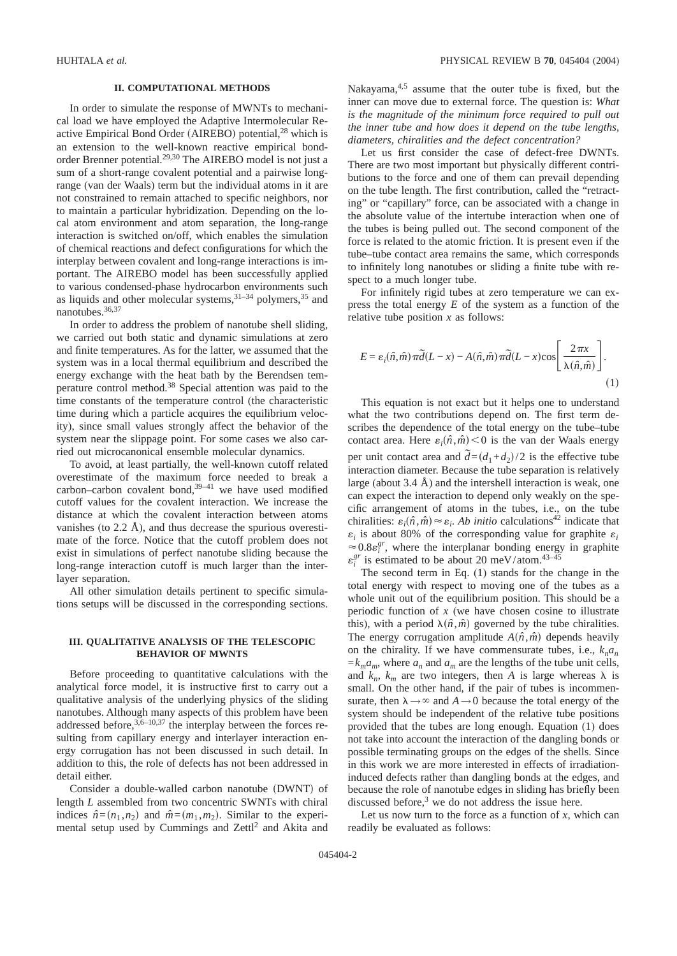### **II. COMPUTATIONAL METHODS**

In order to simulate the response of MWNTs to mechanical load we have employed the Adaptive Intermolecular Reactive Empirical Bond Order (AIREBO) potential,<sup>28</sup> which is an extension to the well-known reactive empirical bondorder Brenner potential.29,30 The AIREBO model is not just a sum of a short-range covalent potential and a pairwise longrange (van der Waals) term but the individual atoms in it are not constrained to remain attached to specific neighbors, nor to maintain a particular hybridization. Depending on the local atom environment and atom separation, the long-range interaction is switched on/off, which enables the simulation of chemical reactions and defect configurations for which the interplay between covalent and long-range interactions is important. The AIREBO model has been successfully applied to various condensed-phase hydrocarbon environments such as liquids and other molecular systems, $31-34$  polymers,  $35$  and nanotubes.36,37

In order to address the problem of nanotube shell sliding, we carried out both static and dynamic simulations at zero and finite temperatures. As for the latter, we assumed that the system was in a local thermal equilibrium and described the energy exchange with the heat bath by the Berendsen temperature control method.38 Special attention was paid to the time constants of the temperature control (the characteristic time during which a particle acquires the equilibrium velocity), since small values strongly affect the behavior of the system near the slippage point. For some cases we also carried out microcanonical ensemble molecular dynamics.

To avoid, at least partially, the well-known cutoff related overestimate of the maximum force needed to break a carbon–carbon covalent bond, $39-41$  we have used modified cutoff values for the covalent interaction. We increase the distance at which the covalent interaction between atoms vanishes (to 2.2 Å), and thus decrease the spurious overestimate of the force. Notice that the cutoff problem does not exist in simulations of perfect nanotube sliding because the long-range interaction cutoff is much larger than the interlayer separation.

All other simulation details pertinent to specific simulations setups will be discussed in the corresponding sections.

## **III. QUALITATIVE ANALYSIS OF THE TELESCOPIC BEHAVIOR OF MWNTS**

Before proceeding to quantitative calculations with the analytical force model, it is instructive first to carry out a qualitative analysis of the underlying physics of the sliding nanotubes. Although many aspects of this problem have been addressed before,  $3,6-10,37$  the interplay between the forces resulting from capillary energy and interlayer interaction energy corrugation has not been discussed in such detail. In addition to this, the role of defects has not been addressed in detail either.

Consider a double-walled carbon nanotube (DWNT) of length *L* assembled from two concentric SWNTs with chiral indices  $\hat{n} = (n_1, n_2)$  and  $\hat{m} = (m_1, m_2)$ . Similar to the experimental setup used by Cummings and Zettl<sup>2</sup> and Akita and Nakayama, $4.5$  assume that the outer tube is fixed, but the inner can move due to external force. The question is: *What is the magnitude of the minimum force required to pull out the inner tube and how does it depend on the tube lengths, diameters, chiralities and the defect concentration?*

Let us first consider the case of defect-free DWNTs. There are two most important but physically different contributions to the force and one of them can prevail depending on the tube length. The first contribution, called the "retracting" or "capillary" force, can be associated with a change in the absolute value of the intertube interaction when one of the tubes is being pulled out. The second component of the force is related to the atomic friction. It is present even if the tube–tube contact area remains the same, which corresponds to infinitely long nanotubes or sliding a finite tube with respect to a much longer tube.

For infinitely rigid tubes at zero temperature we can express the total energy *E* of the system as a function of the relative tube position *x* as follows:

$$
E = \varepsilon_i(\hat{n}, \hat{m}) \pi \tilde{d}(L - x) - A(\hat{n}, \hat{m}) \pi \tilde{d}(L - x) \cos\left[\frac{2\pi x}{\lambda(\hat{n}, \hat{m})}\right].
$$
\n(1)

This equation is not exact but it helps one to understand what the two contributions depend on. The first term describes the dependence of the total energy on the tube–tube contact area. Here  $\varepsilon_i(\hat{n}, \hat{m}) < 0$  is the van der Waals energy per unit contact area and  $\tilde{d} = (d_1 + d_2)/2$  is the effective tube interaction diameter. Because the tube separation is relatively large (about 3.4 Å) and the intershell interaction is weak, one can expect the interaction to depend only weakly on the specific arrangement of atoms in the tubes, i.e., on the tube chiralities:  $\varepsilon_i(\hat{n}, \hat{m}) \approx \varepsilon_i$ . *Ab initio* calculations<sup>42</sup> indicate that  $\varepsilon_i$  is about 80% of the corresponding value for graphite  $\varepsilon_i$  $\approx 0.8\varepsilon_i^{gr}$ , where the interplanar bonding energy in graphite  $\varepsilon_i^{gr}$  is estimated to be about 20 meV/atom.<sup>43–45</sup>

The second term in Eq. (1) stands for the change in the total energy with respect to moving one of the tubes as a whole unit out of the equilibrium position. This should be a periodic function of *x* (we have chosen cosine to illustrate this), with a period  $\lambda(\hat{n}, \hat{m})$  governed by the tube chiralities. The energy corrugation amplitude  $A(\hat{n}, \hat{m})$  depends heavily on the chirality. If we have commensurate tubes, i.e.,  $k_n a_n$  $=k_{m}a_{m}$ , where  $a_{n}$  and  $a_{m}$  are the lengths of the tube unit cells, and  $k_n$ ,  $k_m$  are two integers, then *A* is large whereas  $\lambda$  is small. On the other hand, if the pair of tubes is incommensurate, then  $\lambda \rightarrow \infty$  and  $A \rightarrow 0$  because the total energy of the system should be independent of the relative tube positions provided that the tubes are long enough. Equation (1) does not take into account the interaction of the dangling bonds or possible terminating groups on the edges of the shells. Since in this work we are more interested in effects of irradiationinduced defects rather than dangling bonds at the edges, and because the role of nanotube edges in sliding has briefly been discussed before, $3$  we do not address the issue here.

Let us now turn to the force as a function of  $x$ , which can readily be evaluated as follows: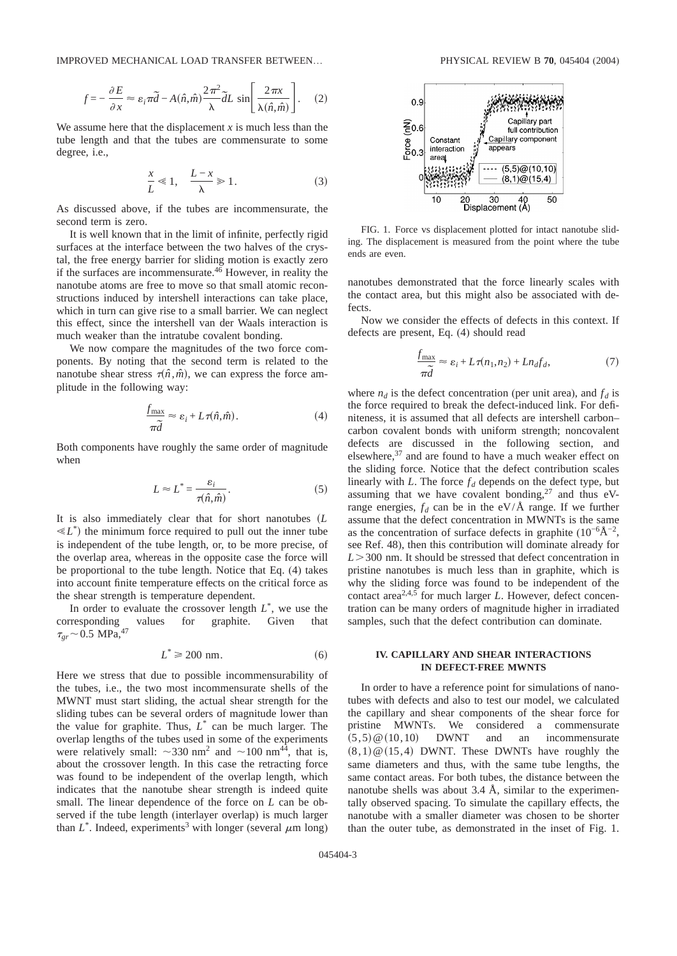IMPROVED MECHANICAL LOAD TRANSFER BETWEEN… PHYSICAL REVIEW B **70**, 045404 (2004)

$$
f = -\frac{\partial E}{\partial x} \approx \varepsilon_i \pi \tilde{d} - A(\hat{n}, \hat{m}) \frac{2\pi^2}{\lambda} \tilde{d}L \sin\left[\frac{2\pi x}{\lambda(\hat{n}, \hat{m})}\right].
$$
 (2)

We assume here that the displacement  $x$  is much less than the tube length and that the tubes are commensurate to some degree, i.e.,

$$
\frac{x}{L} \ll 1, \quad \frac{L - x}{\lambda} \gg 1. \tag{3}
$$

As discussed above, if the tubes are incommensurate, the second term is zero.

It is well known that in the limit of infinite, perfectly rigid surfaces at the interface between the two halves of the crystal, the free energy barrier for sliding motion is exactly zero if the surfaces are incommensurate. $46$  However, in reality the nanotube atoms are free to move so that small atomic reconstructions induced by intershell interactions can take place, which in turn can give rise to a small barrier. We can neglect this effect, since the intershell van der Waals interaction is much weaker than the intratube covalent bonding.

We now compare the magnitudes of the two force components. By noting that the second term is related to the nanotube shear stress  $\tau(\hat{n}, \hat{m})$ , we can express the force amplitude in the following way:

$$
\frac{f_{\max}}{\pi \tilde{d}} \approx \varepsilon_i + L\tau(\hat{n}, \hat{m}).
$$
\n(4)

Both components have roughly the same order of magnitude when

$$
L \approx L^* = \frac{\varepsilon_i}{\tau(\hat{n}, \hat{m})}.
$$
 (5)

It is also immediately clear that for short nanotubes *L*  $\ll L^*$ ) the minimum force required to pull out the inner tube is independent of the tube length, or, to be more precise, of the overlap area, whereas in the opposite case the force will be proportional to the tube length. Notice that Eq. (4) takes into account finite temperature effects on the critical force as the shear strength is temperature dependent.

In order to evaluate the crossover length  $L^*$ , we use the corresponding values for graphite. Given that  $\tau_{gr}$  ~ 0.5 MPa,<sup>47</sup>

$$
L^* \ge 200 \text{ nm.} \tag{6}
$$

Here we stress that due to possible incommensurability of the tubes, i.e., the two most incommensurate shells of the MWNT must start sliding, the actual shear strength for the sliding tubes can be several orders of magnitude lower than the value for graphite. Thus, *L*\* can be much larger. The overlap lengths of the tubes used in some of the experiments were relatively small:  $\sim$ 330 nm<sup>2</sup> and  $\sim$ 100 nm<sup>44</sup>, that is, about the crossover length. In this case the retracting force was found to be independent of the overlap length, which indicates that the nanotube shear strength is indeed quite small. The linear dependence of the force on *L* can be observed if the tube length (interlayer overlap) is much larger than  $L^*$ . Indeed, experiments<sup>3</sup> with longer (several  $\mu$ m long)



FIG. 1. Force vs displacement plotted for intact nanotube sliding. The displacement is measured from the point where the tube ends are even.

nanotubes demonstrated that the force linearly scales with the contact area, but this might also be associated with defects.

Now we consider the effects of defects in this context. If defects are present, Eq. (4) should read

$$
\frac{f_{\text{max}}}{\pi \tilde{d}} \approx \varepsilon_i + L\tau(n_1, n_2) + Ln_d f_d,\tag{7}
$$

where  $n_d$  is the defect concentration (per unit area), and  $f_d$  is the force required to break the defect-induced link. For definiteness, it is assumed that all defects are intershell carbon– carbon covalent bonds with uniform strength; noncovalent defects are discussed in the following section, and elsewhere,<sup>37</sup> and are found to have a much weaker effect on the sliding force. Notice that the defect contribution scales linearly with  $L$ . The force  $f_d$  depends on the defect type, but assuming that we have covalent bonding, $27$  and thus eVrange energies,  $f_d$  can be in the eV/ $\AA$  range. If we further assume that the defect concentration in MWNTs is the same as the concentration of surface defects in graphite  $(10^{-6} \text{\AA}^{-2})$ , see Ref. 48), then this contribution will dominate already for *L*300 nm. It should be stressed that defect concentration in pristine nanotubes is much less than in graphite, which is why the sliding force was found to be independent of the contact area<sup>2,4,5</sup> for much larger *L*. However, defect concentration can be many orders of magnitude higher in irradiated samples, such that the defect contribution can dominate.

### **IV. CAPILLARY AND SHEAR INTERACTIONS IN DEFECT-FREE MWNTS**

In order to have a reference point for simulations of nanotubes with defects and also to test our model, we calculated the capillary and shear components of the shear force for pristine MWNTs. We considered a commensurate  $(5, 5) \otimes (10, 10)$  DWNT and an incommensurate  $(8, 1) \times (15, 4)$  DWNT. These DWNTs have roughly the same diameters and thus, with the same tube lengths, the same contact areas. For both tubes, the distance between the nanotube shells was about  $3.4 \text{ Å}$ , similar to the experimentally observed spacing. To simulate the capillary effects, the nanotube with a smaller diameter was chosen to be shorter than the outer tube, as demonstrated in the inset of Fig. 1.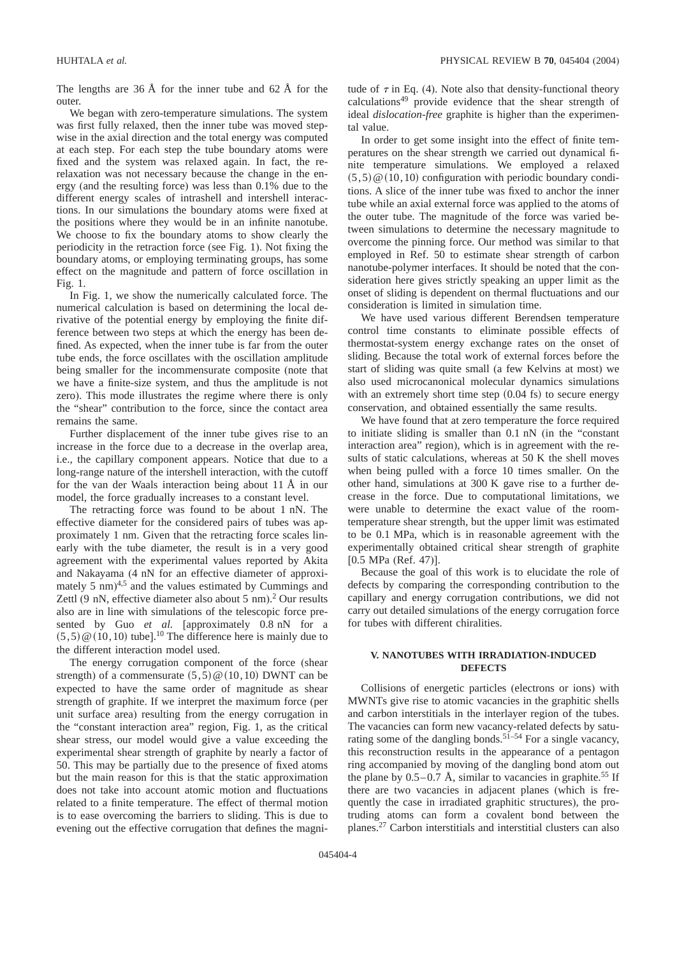The lengths are  $36 \text{ Å}$  for the inner tube and  $62 \text{ Å}$  for the outer.

We began with zero-temperature simulations. The system was first fully relaxed, then the inner tube was moved stepwise in the axial direction and the total energy was computed at each step. For each step the tube boundary atoms were fixed and the system was relaxed again. In fact, the rerelaxation was not necessary because the change in the energy (and the resulting force) was less than 0.1% due to the different energy scales of intrashell and intershell interactions. In our simulations the boundary atoms were fixed at the positions where they would be in an infinite nanotube. We choose to fix the boundary atoms to show clearly the periodicity in the retraction force (see Fig. 1). Not fixing the boundary atoms, or employing terminating groups, has some effect on the magnitude and pattern of force oscillation in Fig. 1.

In Fig. 1, we show the numerically calculated force. The numerical calculation is based on determining the local derivative of the potential energy by employing the finite difference between two steps at which the energy has been defined. As expected, when the inner tube is far from the outer tube ends, the force oscillates with the oscillation amplitude being smaller for the incommensurate composite (note that we have a finite-size system, and thus the amplitude is not zero). This mode illustrates the regime where there is only the "shear" contribution to the force, since the contact area remains the same.

Further displacement of the inner tube gives rise to an increase in the force due to a decrease in the overlap area, i.e., the capillary component appears. Notice that due to a long-range nature of the intershell interaction, with the cutoff for the van der Waals interaction being about 11 Å in our model, the force gradually increases to a constant level.

The retracting force was found to be about 1 nN. The effective diameter for the considered pairs of tubes was approximately 1 nm. Given that the retracting force scales linearly with the tube diameter, the result is in a very good agreement with the experimental values reported by Akita and Nakayama (4 nN for an effective diameter of approximately  $5 \text{ nm}$ <sup>4,5</sup> and the values estimated by Cummings and Zettl (9 nN, effective diameter also about 5 nm). <sup>2</sup> Our results also are in line with simulations of the telescopic force presented by Guo *et al.* [approximately 0.8 nN for a  $(5, 5)$  @  $(10, 10)$  tube].<sup>10</sup> The difference here is mainly due to the different interaction model used.

The energy corrugation component of the force (shear strength) of a commensurate  $(5,5) \circledcirc (10,10)$  DWNT can be expected to have the same order of magnitude as shear strength of graphite. If we interpret the maximum force (per unit surface area) resulting from the energy corrugation in the "constant interaction area" region, Fig. 1, as the critical shear stress, our model would give a value exceeding the experimental shear strength of graphite by nearly a factor of 50. This may be partially due to the presence of fixed atoms but the main reason for this is that the static approximation does not take into account atomic motion and fluctuations related to a finite temperature. The effect of thermal motion is to ease overcoming the barriers to sliding. This is due to evening out the effective corrugation that defines the magnitude of  $\tau$  in Eq. (4). Note also that density-functional theory calculations49 provide evidence that the shear strength of ideal *dislocation-free* graphite is higher than the experimental value.

In order to get some insight into the effect of finite temperatures on the shear strength we carried out dynamical finite temperature simulations. We employed a relaxed  $(5, 5)$  @  $(10, 10)$  configuration with periodic boundary conditions. A slice of the inner tube was fixed to anchor the inner tube while an axial external force was applied to the atoms of the outer tube. The magnitude of the force was varied between simulations to determine the necessary magnitude to overcome the pinning force. Our method was similar to that employed in Ref. 50 to estimate shear strength of carbon nanotube-polymer interfaces. It should be noted that the consideration here gives strictly speaking an upper limit as the onset of sliding is dependent on thermal fluctuations and our consideration is limited in simulation time.

We have used various different Berendsen temperature control time constants to eliminate possible effects of thermostat-system energy exchange rates on the onset of sliding. Because the total work of external forces before the start of sliding was quite small (a few Kelvins at most) we also used microcanonical molecular dynamics simulations with an extremely short time step  $(0.04 \text{ fs})$  to secure energy conservation, and obtained essentially the same results.

We have found that at zero temperature the force required to initiate sliding is smaller than 0.1 nN (in the "constant interaction area" region), which is in agreement with the results of static calculations, whereas at 50 K the shell moves when being pulled with a force 10 times smaller. On the other hand, simulations at 300 K gave rise to a further decrease in the force. Due to computational limitations, we were unable to determine the exact value of the roomtemperature shear strength, but the upper limit was estimated to be 0.1 MPa, which is in reasonable agreement with the experimentally obtained critical shear strength of graphite [0.5 MPa (Ref. 47)].

Because the goal of this work is to elucidate the role of defects by comparing the corresponding contribution to the capillary and energy corrugation contributions, we did not carry out detailed simulations of the energy corrugation force for tubes with different chiralities.

# **V. NANOTUBES WITH IRRADIATION-INDUCED DEFECTS**

Collisions of energetic particles (electrons or ions) with MWNTs give rise to atomic vacancies in the graphitic shells and carbon interstitials in the interlayer region of the tubes. The vacancies can form new vacancy-related defects by saturating some of the dangling bonds.<sup>51–54</sup> For a single vacancy, this reconstruction results in the appearance of a pentagon ring accompanied by moving of the dangling bond atom out the plane by  $0.5-0.7$  Å, similar to vacancies in graphite.<sup>55</sup> If there are two vacancies in adjacent planes (which is frequently the case in irradiated graphitic structures), the protruding atoms can form a covalent bond between the planes.27 Carbon interstitials and interstitial clusters can also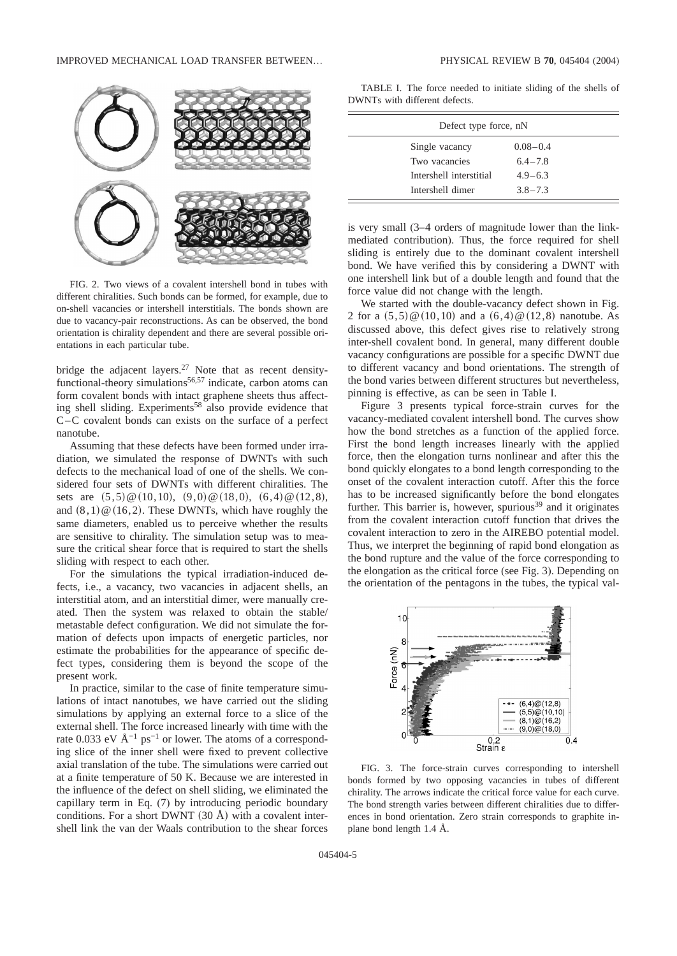

FIG. 2. Two views of a covalent intershell bond in tubes with different chiralities. Such bonds can be formed, for example, due to on-shell vacancies or intershell interstitials. The bonds shown are due to vacancy-pair reconstructions. As can be observed, the bond orientation is chirality dependent and there are several possible orientations in each particular tube.

bridge the adjacent layers.27 Note that as recent densityfunctional-theory simulations<sup>56,57</sup> indicate, carbon atoms can form covalent bonds with intact graphene sheets thus affecting shell sliding. Experiments<sup>58</sup> also provide evidence that C–C covalent bonds can exists on the surface of a perfect nanotube.

Assuming that these defects have been formed under irradiation, we simulated the response of DWNTs with such defects to the mechanical load of one of the shells. We considered four sets of DWNTs with different chiralities. The sets are  $(5,5) \& (10,10), (9,0) \& (18,0), (6,4) \& (12,8),$ and  $(8, 1) \times (16, 2)$ . These DWNTs, which have roughly the same diameters, enabled us to perceive whether the results are sensitive to chirality. The simulation setup was to measure the critical shear force that is required to start the shells sliding with respect to each other.

For the simulations the typical irradiation-induced defects, i.e., a vacancy, two vacancies in adjacent shells, an interstitial atom, and an interstitial dimer, were manually created. Then the system was relaxed to obtain the stable/ metastable defect configuration. We did not simulate the formation of defects upon impacts of energetic particles, nor estimate the probabilities for the appearance of specific defect types, considering them is beyond the scope of the present work.

In practice, similar to the case of finite temperature simulations of intact nanotubes, we have carried out the sliding simulations by applying an external force to a slice of the external shell. The force increased linearly with time with the rate 0.033 eV  $\rm \AA^{-1}$  ps<sup>-1</sup> or lower. The atoms of a corresponding slice of the inner shell were fixed to prevent collective axial translation of the tube. The simulations were carried out at a finite temperature of 50 K. Because we are interested in the influence of the defect on shell sliding, we eliminated the capillary term in Eq. (7) by introducing periodic boundary conditions. For a short DWNT  $(30 \text{ Å})$  with a covalent intershell link the van der Waals contribution to the shear forces

TABLE I. The force needed to initiate sliding of the shells of DWNTs with different defects.

| Defect type force, nN   |              |  |
|-------------------------|--------------|--|
| Single vacancy          | $0.08 - 0.4$ |  |
| Two vacancies           | $6.4 - 7.8$  |  |
| Intershell interstitial | $4.9 - 6.3$  |  |
| Intershell dimer        | $3.8 - 7.3$  |  |

is very small (3–4 orders of magnitude lower than the linkmediated contribution). Thus, the force required for shell sliding is entirely due to the dominant covalent intershell bond. We have verified this by considering a DWNT with one intershell link but of a double length and found that the force value did not change with the length.

We started with the double-vacancy defect shown in Fig. 2 for a  $(5,5) \circ (10,10)$  and a  $(6,4) \circ (12,8)$  nanotube. As discussed above, this defect gives rise to relatively strong inter-shell covalent bond. In general, many different double vacancy configurations are possible for a specific DWNT due to different vacancy and bond orientations. The strength of the bond varies between different structures but nevertheless, pinning is effective, as can be seen in Table I.

Figure 3 presents typical force-strain curves for the vacancy-mediated covalent intershell bond. The curves show how the bond stretches as a function of the applied force. First the bond length increases linearly with the applied force, then the elongation turns nonlinear and after this the bond quickly elongates to a bond length corresponding to the onset of the covalent interaction cutoff. After this the force has to be increased significantly before the bond elongates further. This barrier is, however, spurious<sup>39</sup> and it originates from the covalent interaction cutoff function that drives the covalent interaction to zero in the AIREBO potential model. Thus, we interpret the beginning of rapid bond elongation as the bond rupture and the value of the force corresponding to the elongation as the critical force (see Fig. 3). Depending on the orientation of the pentagons in the tubes, the typical val-



FIG. 3. The force-strain curves corresponding to intershell bonds formed by two opposing vacancies in tubes of different chirality. The arrows indicate the critical force value for each curve. The bond strength varies between different chiralities due to differences in bond orientation. Zero strain corresponds to graphite inplane bond length 1.4 Å.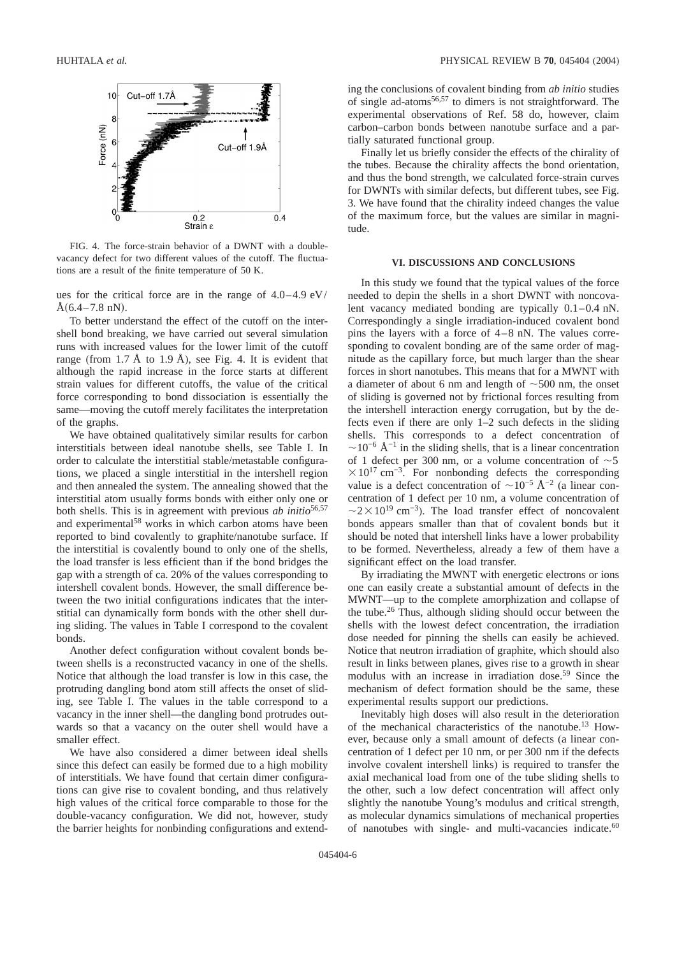

FIG. 4. The force-strain behavior of a DWNT with a doublevacancy defect for two different values of the cutoff. The fluctuations are a result of the finite temperature of 50 K.

ues for the critical force are in the range of 4.0–4.9 eV/  $A(6.4-7.8 \text{ nN}).$ 

To better understand the effect of the cutoff on the intershell bond breaking, we have carried out several simulation runs with increased values for the lower limit of the cutoff range (from  $1.7 \text{ Å}$  to  $1.9 \text{ Å}$ ), see Fig. 4. It is evident that although the rapid increase in the force starts at different strain values for different cutoffs, the value of the critical force corresponding to bond dissociation is essentially the same—moving the cutoff merely facilitates the interpretation of the graphs.

We have obtained qualitatively similar results for carbon interstitials between ideal nanotube shells, see Table I. In order to calculate the interstitial stable/metastable configurations, we placed a single interstitial in the intershell region and then annealed the system. The annealing showed that the interstitial atom usually forms bonds with either only one or both shells. This is in agreement with previous *ab initio*<sup>56,57</sup> and experimental<sup>58</sup> works in which carbon atoms have been reported to bind covalently to graphite/nanotube surface. If the interstitial is covalently bound to only one of the shells, the load transfer is less efficient than if the bond bridges the gap with a strength of ca. 20% of the values corresponding to intershell covalent bonds. However, the small difference between the two initial configurations indicates that the interstitial can dynamically form bonds with the other shell during sliding. The values in Table I correspond to the covalent bonds.

Another defect configuration without covalent bonds between shells is a reconstructed vacancy in one of the shells. Notice that although the load transfer is low in this case, the protruding dangling bond atom still affects the onset of sliding, see Table I. The values in the table correspond to a vacancy in the inner shell—the dangling bond protrudes outwards so that a vacancy on the outer shell would have a smaller effect.

We have also considered a dimer between ideal shells since this defect can easily be formed due to a high mobility of interstitials. We have found that certain dimer configurations can give rise to covalent bonding, and thus relatively high values of the critical force comparable to those for the double-vacancy configuration. We did not, however, study the barrier heights for nonbinding configurations and extending the conclusions of covalent binding from *ab initio* studies of single ad-atoms56,57 to dimers is not straightforward. The experimental observations of Ref. 58 do, however, claim carbon–carbon bonds between nanotube surface and a partially saturated functional group.

Finally let us briefly consider the effects of the chirality of the tubes. Because the chirality affects the bond orientation, and thus the bond strength, we calculated force-strain curves for DWNTs with similar defects, but different tubes, see Fig. 3. We have found that the chirality indeed changes the value of the maximum force, but the values are similar in magnitude.

#### **VI. DISCUSSIONS AND CONCLUSIONS**

In this study we found that the typical values of the force needed to depin the shells in a short DWNT with noncovalent vacancy mediated bonding are typically 0.1–0.4 nN. Correspondingly a single irradiation-induced covalent bond pins the layers with a force of 4–8 nN. The values corresponding to covalent bonding are of the same order of magnitude as the capillary force, but much larger than the shear forces in short nanotubes. This means that for a MWNT with a diameter of about 6 nm and length of  $\sim$  500 nm, the onset of sliding is governed not by frictional forces resulting from the intershell interaction energy corrugation, but by the defects even if there are only 1–2 such defects in the sliding shells. This corresponds to a defect concentration of  $\sim$ 10<sup>-6</sup> Å<sup>-1</sup> in the sliding shells, that is a linear concentration of 1 defect per 300 nm, or a volume concentration of  $\sim$  5  $\times 10^{17}$  cm<sup>-3</sup>. For nonbonding defects the corresponding value is a defect concentration of  $\sim 10^{-5}$  Å<sup>-2</sup> (a linear concentration of 1 defect per 10 nm, a volume concentration of  $\sim$ 2 × 10<sup>19</sup> cm<sup>-3</sup>). The load transfer effect of noncovalent bonds appears smaller than that of covalent bonds but it should be noted that intershell links have a lower probability to be formed. Nevertheless, already a few of them have a significant effect on the load transfer.

By irradiating the MWNT with energetic electrons or ions one can easily create a substantial amount of defects in the MWNT—up to the complete amorphization and collapse of the tube.26 Thus, although sliding should occur between the shells with the lowest defect concentration, the irradiation dose needed for pinning the shells can easily be achieved. Notice that neutron irradiation of graphite, which should also result in links between planes, gives rise to a growth in shear modulus with an increase in irradiation dose.<sup>59</sup> Since the mechanism of defect formation should be the same, these experimental results support our predictions.

Inevitably high doses will also result in the deterioration of the mechanical characteristics of the nanotube.13 However, because only a small amount of defects (a linear concentration of 1 defect per 10 nm, or per 300 nm if the defects involve covalent intershell links) is required to transfer the axial mechanical load from one of the tube sliding shells to the other, such a low defect concentration will affect only slightly the nanotube Young's modulus and critical strength, as molecular dynamics simulations of mechanical properties of nanotubes with single- and multi-vacancies indicate.<sup>60</sup>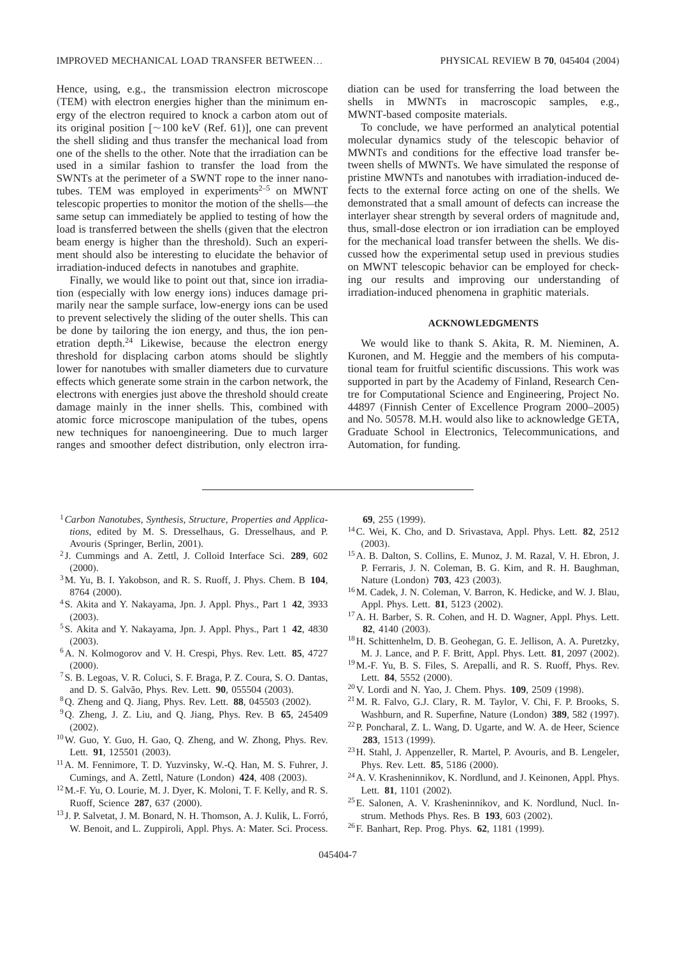Hence, using, e.g., the transmission electron microscope (TEM) with electron energies higher than the minimum energy of the electron required to knock a carbon atom out of its original position  $[~100$  keV (Ref. 61)], one can prevent the shell sliding and thus transfer the mechanical load from one of the shells to the other. Note that the irradiation can be used in a similar fashion to transfer the load from the SWNTs at the perimeter of a SWNT rope to the inner nanotubes. TEM was employed in experiments $2-5$  on MWNT telescopic properties to monitor the motion of the shells—the same setup can immediately be applied to testing of how the load is transferred between the shells (given that the electron beam energy is higher than the threshold). Such an experiment should also be interesting to elucidate the behavior of irradiation-induced defects in nanotubes and graphite.

Finally, we would like to point out that, since ion irradiation (especially with low energy ions) induces damage primarily near the sample surface, low-energy ions can be used to prevent selectively the sliding of the outer shells. This can be done by tailoring the ion energy, and thus, the ion penetration depth.24 Likewise, because the electron energy threshold for displacing carbon atoms should be slightly lower for nanotubes with smaller diameters due to curvature effects which generate some strain in the carbon network, the electrons with energies just above the threshold should create damage mainly in the inner shells. This, combined with atomic force microscope manipulation of the tubes, opens new techniques for nanoengineering. Due to much larger ranges and smoother defect distribution, only electron irradiation can be used for transferring the load between the shells in MWNTs in macroscopic samples, e.g., MWNT-based composite materials.

To conclude, we have performed an analytical potential molecular dynamics study of the telescopic behavior of MWNTs and conditions for the effective load transfer between shells of MWNTs. We have simulated the response of pristine MWNTs and nanotubes with irradiation-induced defects to the external force acting on one of the shells. We demonstrated that a small amount of defects can increase the interlayer shear strength by several orders of magnitude and, thus, small-dose electron or ion irradiation can be employed for the mechanical load transfer between the shells. We discussed how the experimental setup used in previous studies on MWNT telescopic behavior can be employed for checking our results and improving our understanding of irradiation-induced phenomena in graphitic materials.

## **ACKNOWLEDGMENTS**

We would like to thank S. Akita, R. M. Nieminen, A. Kuronen, and M. Heggie and the members of his computational team for fruitful scientific discussions. This work was supported in part by the Academy of Finland, Research Centre for Computational Science and Engineering, Project No. 44897 (Finnish Center of Excellence Program 2000–2005) and No. 50578. M.H. would also like to acknowledge GETA, Graduate School in Electronics, Telecommunications, and Automation, for funding.

- <sup>1</sup> Carbon Nanotubes, Synthesis, Structure, Properties and Applica*tions*, edited by M. S. Dresselhaus, G. Dresselhaus, and P. Avouris (Springer, Berlin, 2001).
- <sup>2</sup> J. Cummings and A. Zettl, J. Colloid Interface Sci. **289**, 602 (2000).
- 3M. Yu, B. I. Yakobson, and R. S. Ruoff, J. Phys. Chem. B **104**, 8764 (2000).
- 4S. Akita and Y. Nakayama, Jpn. J. Appl. Phys., Part 1 **42**, 3933 (2003).
- 5S. Akita and Y. Nakayama, Jpn. J. Appl. Phys., Part 1 **42**, 4830 (2003).
- 6A. N. Kolmogorov and V. H. Crespi, Phys. Rev. Lett. **85**, 4727 (2000).
- 7S. B. Legoas, V. R. Coluci, S. F. Braga, P. Z. Coura, S. O. Dantas, and D. S. Galvão, Phys. Rev. Lett. **90**, 055504 (2003).
- 8Q. Zheng and Q. Jiang, Phys. Rev. Lett. **88**, 045503 (2002).
- 9Q. Zheng, J. Z. Liu, and Q. Jiang, Phys. Rev. B **65**, 245409 (2002).
- 10W. Guo, Y. Guo, H. Gao, Q. Zheng, and W. Zhong, Phys. Rev. Lett. **91**, 125501 (2003).
- 11A. M. Fennimore, T. D. Yuzvinsky, W.-Q. Han, M. S. Fuhrer, J. Cumings, and A. Zettl, Nature (London) **424**, 408 (2003).
- 12M.-F. Yu, O. Lourie, M. J. Dyer, K. Moloni, T. F. Kelly, and R. S. Ruoff, Science **287**, 637 (2000).
- <sup>13</sup> J. P. Salvetat, J. M. Bonard, N. H. Thomson, A. J. Kulik, L. Forró, W. Benoit, and L. Zuppiroli, Appl. Phys. A: Mater. Sci. Process.

**69**, 255 (1999).

- 14C. Wei, K. Cho, and D. Srivastava, Appl. Phys. Lett. **82**, 2512 (2003).
- 15A. B. Dalton, S. Collins, E. Munoz, J. M. Razal, V. H. Ebron, J. P. Ferraris, J. N. Coleman, B. G. Kim, and R. H. Baughman, Nature (London) **703**, 423 (2003).
- 16M. Cadek, J. N. Coleman, V. Barron, K. Hedicke, and W. J. Blau, Appl. Phys. Lett. **81**, 5123 (2002).
- 17A. H. Barber, S. R. Cohen, and H. D. Wagner, Appl. Phys. Lett. **82**, 4140 (2003).
- 18H. Schittenhelm, D. B. Geohegan, G. E. Jellison, A. A. Puretzky, M. J. Lance, and P. F. Britt, Appl. Phys. Lett. **81**, 2097 (2002).
- 19M.-F. Yu, B. S. Files, S. Arepalli, and R. S. Ruoff, Phys. Rev. Lett. **84**, 5552 (2000).
- 20V. Lordi and N. Yao, J. Chem. Phys. **109**, 2509 (1998).
- 21M. R. Falvo, G.J. Clary, R. M. Taylor, V. Chi, F. P. Brooks, S. Washburn, and R. Superfine, Nature (London) **389**, 582 (1997).
- 22P. Poncharal, Z. L. Wang, D. Ugarte, and W. A. de Heer, Science **283**, 1513 (1999).
- 23H. Stahl, J. Appenzeller, R. Martel, P. Avouris, and B. Lengeler, Phys. Rev. Lett. **85**, 5186 (2000).
- 24A. V. Krasheninnikov, K. Nordlund, and J. Keinonen, Appl. Phys. Lett. **81**, 1101 (2002).
- 25E. Salonen, A. V. Krasheninnikov, and K. Nordlund, Nucl. Instrum. Methods Phys. Res. B **193**, 603 (2002).
- 26F. Banhart, Rep. Prog. Phys. **62**, 1181 (1999).

045404-7